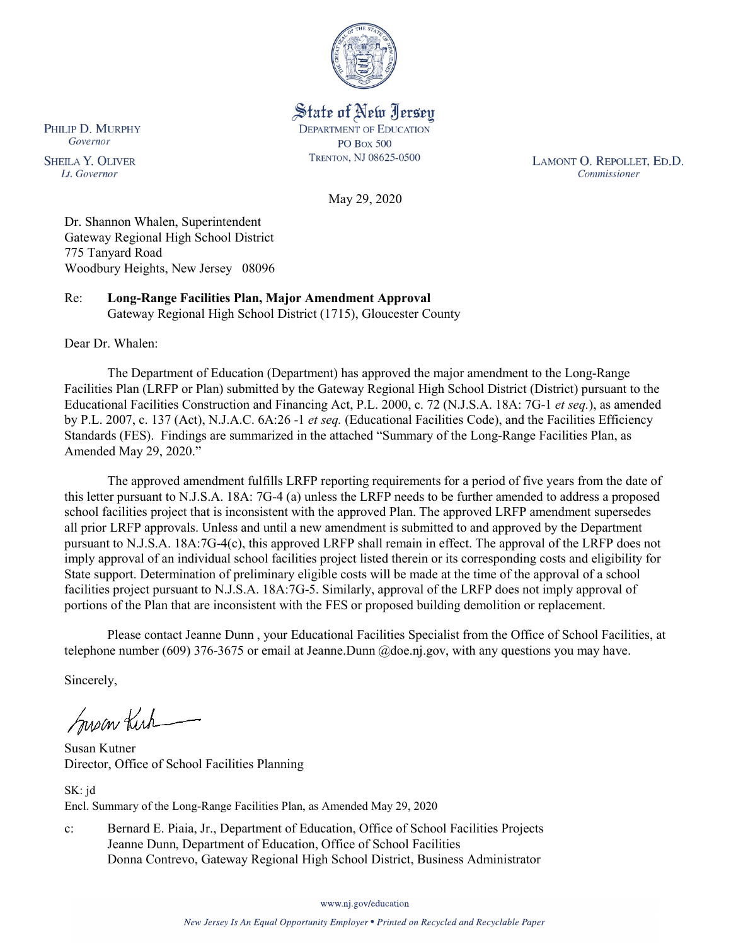

State of New Jersey **DEPARTMENT OF EDUCATION PO Box 500** TRENTON, NJ 08625-0500

LAMONT O. REPOLLET, ED.D. Commissioner

May 29, 2020

Dr. Shannon Whalen, Superintendent Gateway Regional High School District 775 Tanyard Road Woodbury Heights, New Jersey 08096

Re: **Long-Range Facilities Plan, Major Amendment Approval** Gateway Regional High School District (1715), Gloucester County

Dear Dr. Whalen:

The Department of Education (Department) has approved the major amendment to the Long-Range Facilities Plan (LRFP or Plan) submitted by the Gateway Regional High School District (District) pursuant to the Educational Facilities Construction and Financing Act, P.L. 2000, c. 72 (N.J.S.A. 18A: 7G-1 *et seq.*), as amended by P.L. 2007, c. 137 (Act), N.J.A.C. 6A:26 -1 *et seq.* (Educational Facilities Code), and the Facilities Efficiency Standards (FES). Findings are summarized in the attached "Summary of the Long-Range Facilities Plan, as Amended May 29, 2020."

The approved amendment fulfills LRFP reporting requirements for a period of five years from the date of this letter pursuant to N.J.S.A. 18A: 7G-4 (a) unless the LRFP needs to be further amended to address a proposed school facilities project that is inconsistent with the approved Plan. The approved LRFP amendment supersedes all prior LRFP approvals. Unless and until a new amendment is submitted to and approved by the Department pursuant to N.J.S.A. 18A:7G-4(c), this approved LRFP shall remain in effect. The approval of the LRFP does not imply approval of an individual school facilities project listed therein or its corresponding costs and eligibility for State support. Determination of preliminary eligible costs will be made at the time of the approval of a school facilities project pursuant to N.J.S.A. 18A:7G-5. Similarly, approval of the LRFP does not imply approval of portions of the Plan that are inconsistent with the FES or proposed building demolition or replacement.

Please contact Jeanne Dunn , your Educational Facilities Specialist from the Office of School Facilities, at telephone number (609) 376-3675 or email at Jeanne.Dunn @doe.nj.gov, with any questions you may have.

Sincerely,

Susan Kich

Susan Kutner Director, Office of School Facilities Planning

SK: jd Encl. Summary of the Long-Range Facilities Plan, as Amended May 29, 2020

c: Bernard E. Piaia, Jr., Department of Education, Office of School Facilities Projects Jeanne Dunn, Department of Education, Office of School Facilities Donna Contrevo, Gateway Regional High School District, Business Administrator

www.nj.gov/education

New Jersey Is An Equal Opportunity Employer . Printed on Recycled and Recyclable Paper

PHILIP D. MURPHY Governor

**SHEILA Y. OLIVER** Lt. Governor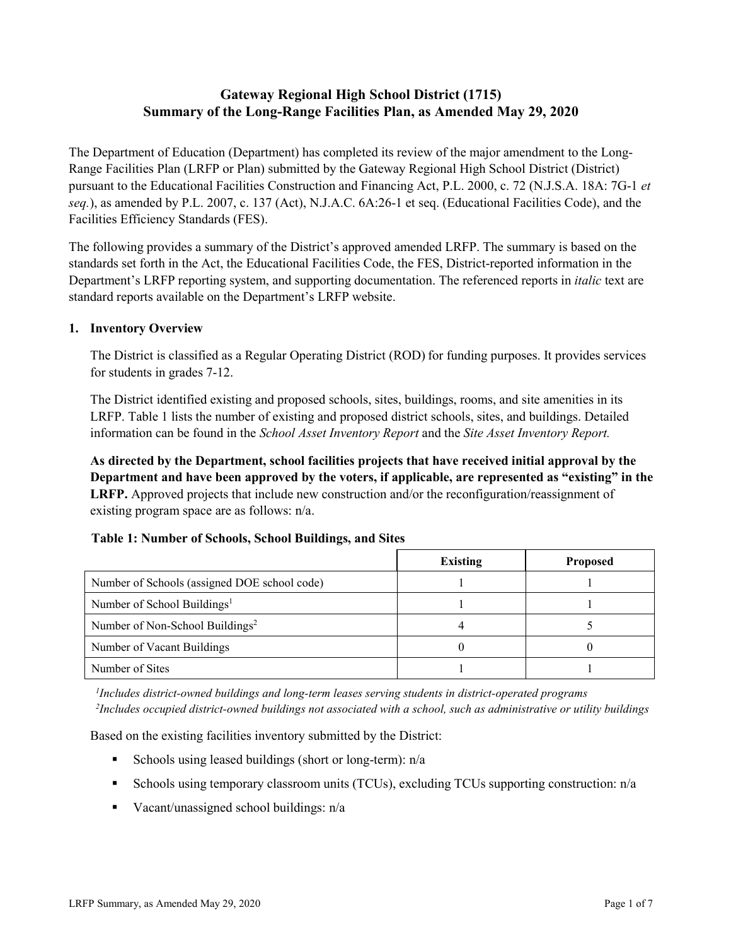# **Gateway Regional High School District (1715) Summary of the Long-Range Facilities Plan, as Amended May 29, 2020**

The Department of Education (Department) has completed its review of the major amendment to the Long-Range Facilities Plan (LRFP or Plan) submitted by the Gateway Regional High School District (District) pursuant to the Educational Facilities Construction and Financing Act, P.L. 2000, c. 72 (N.J.S.A. 18A: 7G-1 *et seq.*), as amended by P.L. 2007, c. 137 (Act), N.J.A.C. 6A:26-1 et seq. (Educational Facilities Code), and the Facilities Efficiency Standards (FES).

The following provides a summary of the District's approved amended LRFP. The summary is based on the standards set forth in the Act, the Educational Facilities Code, the FES, District-reported information in the Department's LRFP reporting system, and supporting documentation. The referenced reports in *italic* text are standard reports available on the Department's LRFP website.

### **1. Inventory Overview**

The District is classified as a Regular Operating District (ROD) for funding purposes. It provides services for students in grades 7-12.

The District identified existing and proposed schools, sites, buildings, rooms, and site amenities in its LRFP. Table 1 lists the number of existing and proposed district schools, sites, and buildings. Detailed information can be found in the *School Asset Inventory Report* and the *Site Asset Inventory Report.*

**As directed by the Department, school facilities projects that have received initial approval by the Department and have been approved by the voters, if applicable, are represented as "existing" in the LRFP.** Approved projects that include new construction and/or the reconfiguration/reassignment of existing program space are as follows: n/a.

|  |  | Table 1: Number of Schools, School Buildings, and Sites |  |
|--|--|---------------------------------------------------------|--|
|--|--|---------------------------------------------------------|--|

|                                              | <b>Existing</b> | <b>Proposed</b> |
|----------------------------------------------|-----------------|-----------------|
| Number of Schools (assigned DOE school code) |                 |                 |
| Number of School Buildings <sup>1</sup>      |                 |                 |
| Number of Non-School Buildings <sup>2</sup>  |                 |                 |
| Number of Vacant Buildings                   |                 |                 |
| Number of Sites                              |                 |                 |

*1 Includes district-owned buildings and long-term leases serving students in district-operated programs 2 Includes occupied district-owned buildings not associated with a school, such as administrative or utility buildings*

Based on the existing facilities inventory submitted by the District:

- Schools using leased buildings (short or long-term):  $n/a$
- Schools using temporary classroom units (TCUs), excluding TCUs supporting construction: n/a
- Vacant/unassigned school buildings:  $n/a$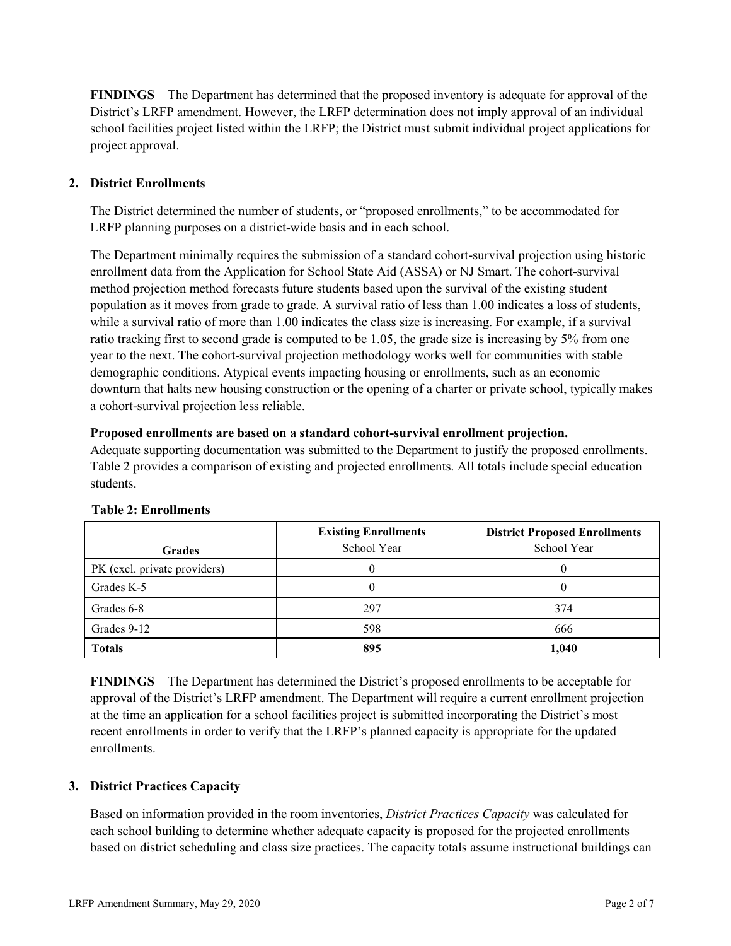**FINDINGS** The Department has determined that the proposed inventory is adequate for approval of the District's LRFP amendment. However, the LRFP determination does not imply approval of an individual school facilities project listed within the LRFP; the District must submit individual project applications for project approval.

## **2. District Enrollments**

The District determined the number of students, or "proposed enrollments," to be accommodated for LRFP planning purposes on a district-wide basis and in each school.

The Department minimally requires the submission of a standard cohort-survival projection using historic enrollment data from the Application for School State Aid (ASSA) or NJ Smart. The cohort-survival method projection method forecasts future students based upon the survival of the existing student population as it moves from grade to grade. A survival ratio of less than 1.00 indicates a loss of students, while a survival ratio of more than 1.00 indicates the class size is increasing. For example, if a survival ratio tracking first to second grade is computed to be 1.05, the grade size is increasing by 5% from one year to the next. The cohort-survival projection methodology works well for communities with stable demographic conditions. Atypical events impacting housing or enrollments, such as an economic downturn that halts new housing construction or the opening of a charter or private school, typically makes a cohort-survival projection less reliable.

#### **Proposed enrollments are based on a standard cohort-survival enrollment projection.**

Adequate supporting documentation was submitted to the Department to justify the proposed enrollments. Table 2 provides a comparison of existing and projected enrollments. All totals include special education students.

|                              | <b>Existing Enrollments</b><br>School Year | <b>District Proposed Enrollments</b><br>School Year |
|------------------------------|--------------------------------------------|-----------------------------------------------------|
| <b>Grades</b>                |                                            |                                                     |
| PK (excl. private providers) |                                            |                                                     |
| Grades K-5                   |                                            |                                                     |
| Grades 6-8                   | 297                                        | 374                                                 |
| Grades 9-12                  | 598                                        | 666                                                 |
| <b>Totals</b>                | 895                                        | 1,040                                               |

#### **Table 2: Enrollments**

**FINDINGS** The Department has determined the District's proposed enrollments to be acceptable for approval of the District's LRFP amendment. The Department will require a current enrollment projection at the time an application for a school facilities project is submitted incorporating the District's most recent enrollments in order to verify that the LRFP's planned capacity is appropriate for the updated enrollments.

#### **3. District Practices Capacity**

Based on information provided in the room inventories, *District Practices Capacity* was calculated for each school building to determine whether adequate capacity is proposed for the projected enrollments based on district scheduling and class size practices. The capacity totals assume instructional buildings can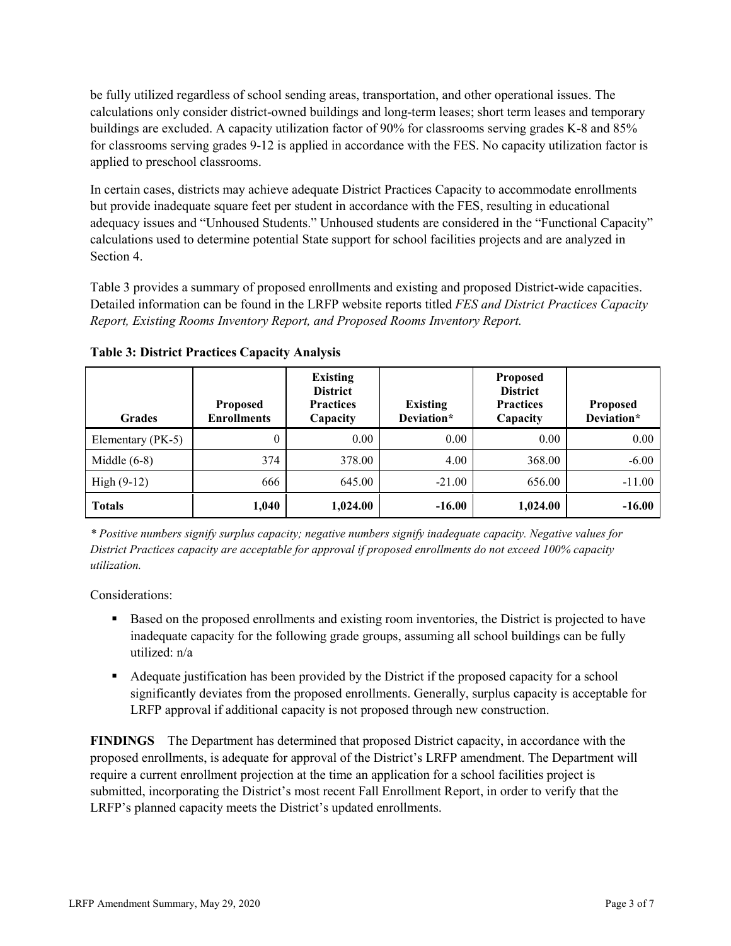be fully utilized regardless of school sending areas, transportation, and other operational issues. The calculations only consider district-owned buildings and long-term leases; short term leases and temporary buildings are excluded. A capacity utilization factor of 90% for classrooms serving grades K-8 and 85% for classrooms serving grades 9-12 is applied in accordance with the FES. No capacity utilization factor is applied to preschool classrooms.

In certain cases, districts may achieve adequate District Practices Capacity to accommodate enrollments but provide inadequate square feet per student in accordance with the FES, resulting in educational adequacy issues and "Unhoused Students." Unhoused students are considered in the "Functional Capacity" calculations used to determine potential State support for school facilities projects and are analyzed in Section 4.

Table 3 provides a summary of proposed enrollments and existing and proposed District-wide capacities. Detailed information can be found in the LRFP website reports titled *FES and District Practices Capacity Report, Existing Rooms Inventory Report, and Proposed Rooms Inventory Report.*

| <b>Grades</b>     | <b>Proposed</b><br><b>Enrollments</b> | <b>Existing</b><br><b>District</b><br><b>Practices</b><br>Capacity | <b>Existing</b><br>Deviation* | <b>Proposed</b><br><b>District</b><br><b>Practices</b><br>Capacity | <b>Proposed</b><br>Deviation* |
|-------------------|---------------------------------------|--------------------------------------------------------------------|-------------------------------|--------------------------------------------------------------------|-------------------------------|
| Elementary (PK-5) | $\theta$                              | 0.00                                                               | 0.00                          | 0.00                                                               | 0.00                          |
| Middle $(6-8)$    | 374                                   | 378.00                                                             | 4.00                          | 368.00                                                             | $-6.00$                       |
| High $(9-12)$     | 666                                   | 645.00                                                             | $-21.00$                      | 656.00                                                             | $-11.00$                      |
| <b>Totals</b>     | 1,040                                 | 1,024.00                                                           | $-16.00$                      | 1,024.00                                                           | $-16.00$                      |

**Table 3: District Practices Capacity Analysis**

*\* Positive numbers signify surplus capacity; negative numbers signify inadequate capacity. Negative values for District Practices capacity are acceptable for approval if proposed enrollments do not exceed 100% capacity utilization.*

Considerations:

- **Based on the proposed enrollments and existing room inventories, the District is projected to have** inadequate capacity for the following grade groups, assuming all school buildings can be fully utilized: n/a
- Adequate justification has been provided by the District if the proposed capacity for a school significantly deviates from the proposed enrollments. Generally, surplus capacity is acceptable for LRFP approval if additional capacity is not proposed through new construction.

**FINDINGS**The Department has determined that proposed District capacity, in accordance with the proposed enrollments, is adequate for approval of the District's LRFP amendment. The Department will require a current enrollment projection at the time an application for a school facilities project is submitted, incorporating the District's most recent Fall Enrollment Report, in order to verify that the LRFP's planned capacity meets the District's updated enrollments.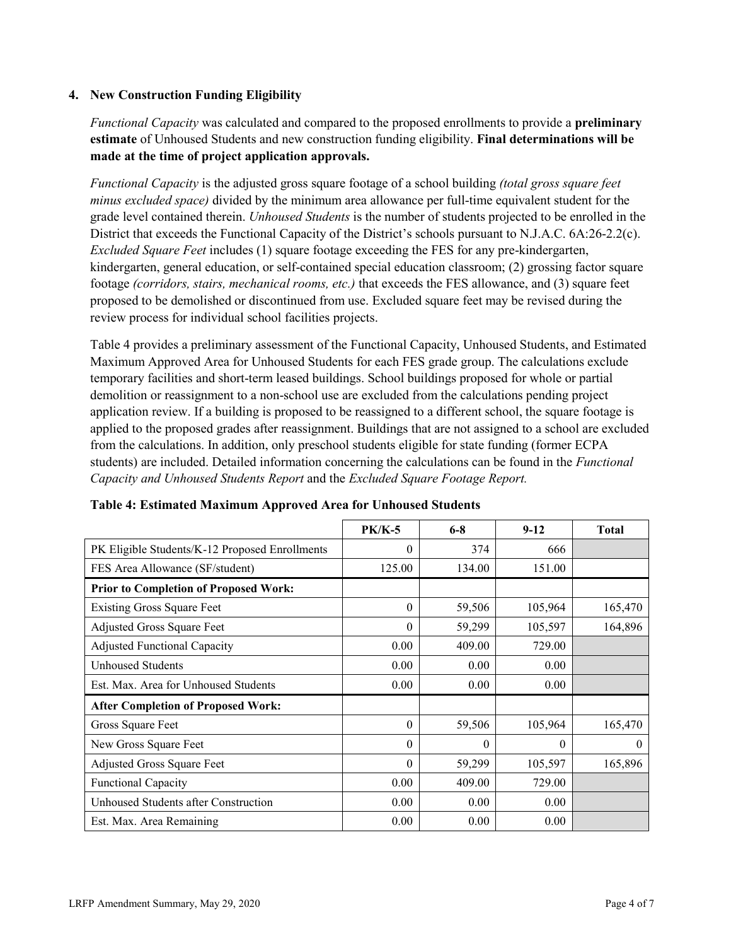### **4. New Construction Funding Eligibility**

*Functional Capacity* was calculated and compared to the proposed enrollments to provide a **preliminary estimate** of Unhoused Students and new construction funding eligibility. **Final determinations will be made at the time of project application approvals.**

*Functional Capacity* is the adjusted gross square footage of a school building *(total gross square feet minus excluded space)* divided by the minimum area allowance per full-time equivalent student for the grade level contained therein. *Unhoused Students* is the number of students projected to be enrolled in the District that exceeds the Functional Capacity of the District's schools pursuant to N.J.A.C. 6A:26-2.2(c). *Excluded Square Feet* includes (1) square footage exceeding the FES for any pre-kindergarten, kindergarten, general education, or self-contained special education classroom; (2) grossing factor square footage *(corridors, stairs, mechanical rooms, etc.)* that exceeds the FES allowance, and (3) square feet proposed to be demolished or discontinued from use. Excluded square feet may be revised during the review process for individual school facilities projects.

Table 4 provides a preliminary assessment of the Functional Capacity, Unhoused Students, and Estimated Maximum Approved Area for Unhoused Students for each FES grade group. The calculations exclude temporary facilities and short-term leased buildings. School buildings proposed for whole or partial demolition or reassignment to a non-school use are excluded from the calculations pending project application review. If a building is proposed to be reassigned to a different school, the square footage is applied to the proposed grades after reassignment. Buildings that are not assigned to a school are excluded from the calculations. In addition, only preschool students eligible for state funding (former ECPA students) are included. Detailed information concerning the calculations can be found in the *Functional Capacity and Unhoused Students Report* and the *Excluded Square Footage Report.*

|                                                | <b>PK/K-5</b> | $6 - 8$  | $9-12$   | <b>Total</b> |
|------------------------------------------------|---------------|----------|----------|--------------|
| PK Eligible Students/K-12 Proposed Enrollments | $\theta$      | 374      | 666      |              |
| FES Area Allowance (SF/student)                | 125.00        | 134.00   | 151.00   |              |
| <b>Prior to Completion of Proposed Work:</b>   |               |          |          |              |
| <b>Existing Gross Square Feet</b>              | $\Omega$      | 59,506   | 105,964  | 165,470      |
| Adjusted Gross Square Feet                     | $\theta$      | 59,299   | 105,597  | 164,896      |
| <b>Adjusted Functional Capacity</b>            | 0.00          | 409.00   | 729.00   |              |
| <b>Unhoused Students</b>                       | 0.00          | 0.00     | 0.00     |              |
| Est. Max. Area for Unhoused Students           | 0.00          | 0.00     | 0.00     |              |
| <b>After Completion of Proposed Work:</b>      |               |          |          |              |
| Gross Square Feet                              | $\theta$      | 59,506   | 105,964  | 165,470      |
| New Gross Square Feet                          | $\Omega$      | $\theta$ | $\theta$ | $\theta$     |
| Adjusted Gross Square Feet                     | $\Omega$      | 59,299   | 105,597  | 165,896      |
| Functional Capacity                            | 0.00          | 409.00   | 729.00   |              |
| Unhoused Students after Construction           | 0.00          | 0.00     | 0.00     |              |
| Est. Max. Area Remaining                       | 0.00          | 0.00     | 0.00     |              |

| Table 4: Estimated Maximum Approved Area for Unhoused Students |  |  |  |
|----------------------------------------------------------------|--|--|--|
|----------------------------------------------------------------|--|--|--|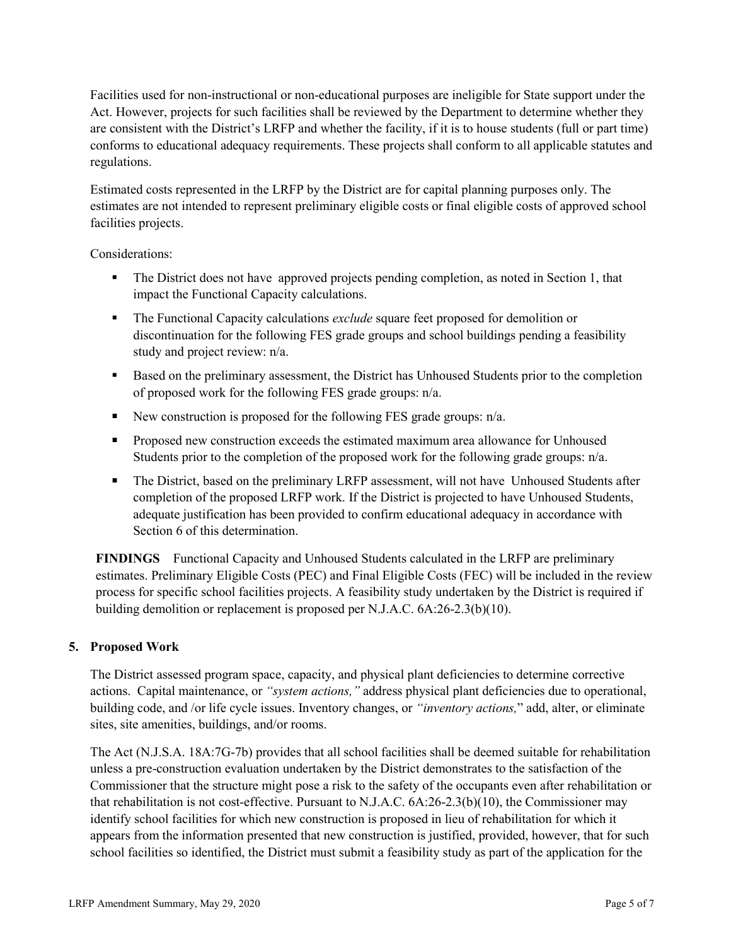Facilities used for non-instructional or non-educational purposes are ineligible for State support under the Act. However, projects for such facilities shall be reviewed by the Department to determine whether they are consistent with the District's LRFP and whether the facility, if it is to house students (full or part time) conforms to educational adequacy requirements. These projects shall conform to all applicable statutes and regulations.

Estimated costs represented in the LRFP by the District are for capital planning purposes only. The estimates are not intended to represent preliminary eligible costs or final eligible costs of approved school facilities projects.

Considerations:

- The District does not have approved projects pending completion, as noted in Section 1, that impact the Functional Capacity calculations.
- The Functional Capacity calculations *exclude* square feet proposed for demolition or discontinuation for the following FES grade groups and school buildings pending a feasibility study and project review: n/a.
- Based on the preliminary assessment, the District has Unhoused Students prior to the completion of proposed work for the following FES grade groups: n/a.
- New construction is proposed for the following FES grade groups:  $n/a$ .
- **Proposed new construction exceeds the estimated maximum area allowance for Unhoused** Students prior to the completion of the proposed work for the following grade groups: n/a.
- The District, based on the preliminary LRFP assessment, will not have Unhoused Students after completion of the proposed LRFP work. If the District is projected to have Unhoused Students, adequate justification has been provided to confirm educational adequacy in accordance with Section 6 of this determination.

**FINDINGS** Functional Capacity and Unhoused Students calculated in the LRFP are preliminary estimates. Preliminary Eligible Costs (PEC) and Final Eligible Costs (FEC) will be included in the review process for specific school facilities projects. A feasibility study undertaken by the District is required if building demolition or replacement is proposed per N.J.A.C. 6A:26-2.3(b)(10).

## **5. Proposed Work**

The District assessed program space, capacity, and physical plant deficiencies to determine corrective actions. Capital maintenance, or *"system actions,"* address physical plant deficiencies due to operational, building code, and /or life cycle issues. Inventory changes, or *"inventory actions,*" add, alter, or eliminate sites, site amenities, buildings, and/or rooms.

The Act (N.J.S.A. 18A:7G-7b) provides that all school facilities shall be deemed suitable for rehabilitation unless a pre-construction evaluation undertaken by the District demonstrates to the satisfaction of the Commissioner that the structure might pose a risk to the safety of the occupants even after rehabilitation or that rehabilitation is not cost-effective. Pursuant to N.J.A.C. 6A:26-2.3(b)(10), the Commissioner may identify school facilities for which new construction is proposed in lieu of rehabilitation for which it appears from the information presented that new construction is justified, provided, however, that for such school facilities so identified, the District must submit a feasibility study as part of the application for the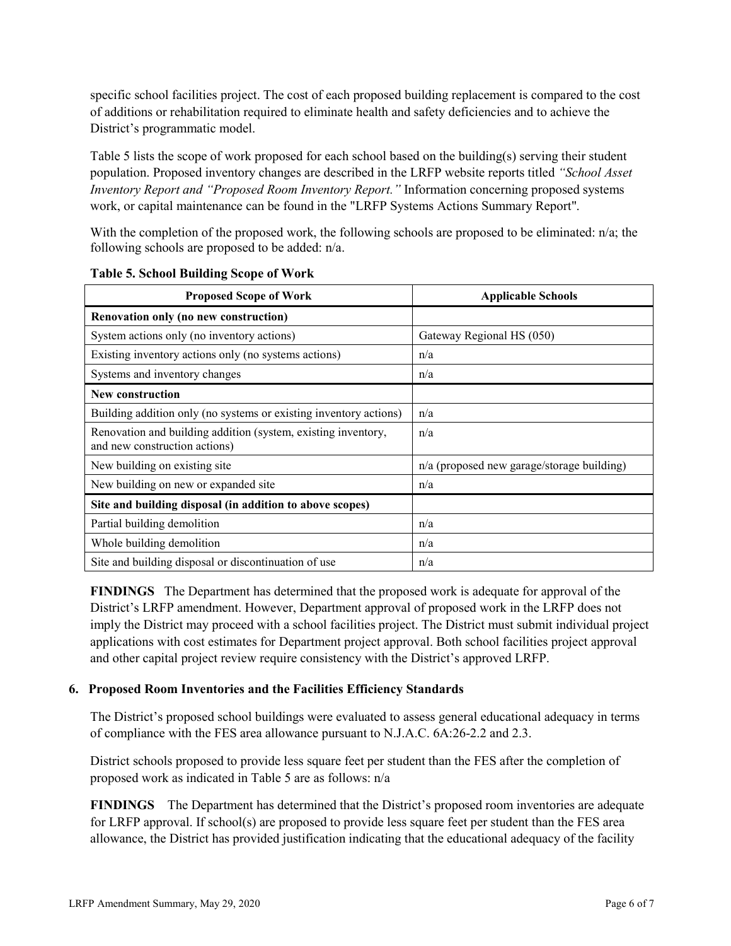specific school facilities project. The cost of each proposed building replacement is compared to the cost of additions or rehabilitation required to eliminate health and safety deficiencies and to achieve the District's programmatic model.

Table 5 lists the scope of work proposed for each school based on the building(s) serving their student population. Proposed inventory changes are described in the LRFP website reports titled *"School Asset Inventory Report and "Proposed Room Inventory Report."* Information concerning proposed systems work, or capital maintenance can be found in the "LRFP Systems Actions Summary Report".

With the completion of the proposed work, the following schools are proposed to be eliminated: n/a; the following schools are proposed to be added: n/a.

| <b>Proposed Scope of Work</b>                                                                  | <b>Applicable Schools</b>                  |
|------------------------------------------------------------------------------------------------|--------------------------------------------|
| Renovation only (no new construction)                                                          |                                            |
| System actions only (no inventory actions)                                                     | Gateway Regional HS (050)                  |
| Existing inventory actions only (no systems actions)                                           | n/a                                        |
| Systems and inventory changes                                                                  | n/a                                        |
| New construction                                                                               |                                            |
| Building addition only (no systems or existing inventory actions)                              | n/a                                        |
| Renovation and building addition (system, existing inventory,<br>and new construction actions) | n/a                                        |
| New building on existing site                                                                  | n/a (proposed new garage/storage building) |
| New building on new or expanded site                                                           | n/a                                        |
| Site and building disposal (in addition to above scopes)                                       |                                            |
| Partial building demolition                                                                    | n/a                                        |
| Whole building demolition                                                                      | n/a                                        |
| Site and building disposal or discontinuation of use                                           | n/a                                        |

**Table 5. School Building Scope of Work**

**FINDINGS** The Department has determined that the proposed work is adequate for approval of the District's LRFP amendment. However, Department approval of proposed work in the LRFP does not imply the District may proceed with a school facilities project. The District must submit individual project applications with cost estimates for Department project approval. Both school facilities project approval and other capital project review require consistency with the District's approved LRFP.

#### **6. Proposed Room Inventories and the Facilities Efficiency Standards**

The District's proposed school buildings were evaluated to assess general educational adequacy in terms of compliance with the FES area allowance pursuant to N.J.A.C. 6A:26-2.2 and 2.3.

District schools proposed to provide less square feet per student than the FES after the completion of proposed work as indicated in Table 5 are as follows: n/a

**FINDINGS** The Department has determined that the District's proposed room inventories are adequate for LRFP approval. If school(s) are proposed to provide less square feet per student than the FES area allowance, the District has provided justification indicating that the educational adequacy of the facility